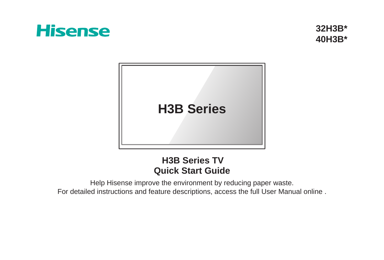# **Hisense**

**32H3B\* 40H3B\***



## **Quick Start Guide H3B Series TV**

Help Hisense improve the environment by reducing paper waste. For detailed instructions and feature descriptions, access the full User Manual online .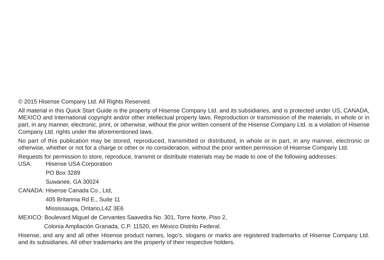© 2015 Hisense Company Ltd. All Rights Reserved.

All material in this Quick Start Guide is the property of Hisense Company Ltd. and its subsidiaries, and is protected under US, CANADA, MEXICO and International copyright and/or other intellectual property laws. Reproduction or transmission of the materials, in whole or in part, in any manner, electronic, print, or otherwise, without the prior written consent of the Hisense Company Ltd. is a violation of Hisense Company Ltd. rights under the aforementioned laws.

No part of this publication may be stored, reproduced, transmitted or distributed, in whole or in part, in any manner, electronic or otherwise, whether or not for a charge or other or no consideration, without the prior written permission of Hisense Company Ltd.

Requests for permission to store, reproduce, transmit or distribute materials may be made to one of the following addresses:

USA: Hisense USA Corporation

PO Box 3289

Suwanee, GA 30024

CANADA: Hisense Canada Co., Ltd,

405 Britannia Rd E., Suite 11

Mississauga, Ontario,L4Z 3E6

MEXICO: Boulevard Miguel de Cervantes Saavedra No. 301, Torre Norte, Piso 2,

Colonia Ampliación Granada, C.P. 11520, en México Distrito Federal.

Hisense, and any and all other Hisense product names, logo's, slogans or marks are registered trademarks of Hisense Company Ltd. and its subsidiaries. All other trademarks are the property of their respective holders.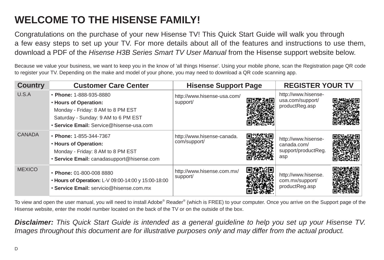## **WELCOME TO THE HISENSE FAMILY!**

Congratulations on the purchase of your new Hisense TV! This Quick Start Guide will walk you through a few easy steps to set up your TV. For more details about all of the features and instructions to use them, download a PDF of the Hisense H3B Series Smart TV User Manual from the Hisense support website below.

Because we value your business, we want to keep you in the know of 'all things Hisense'. Using your mobile phone, scan the Registration page QR code to register your TV. Depending on the make and model of your phone, you may need to download a QR code scanning app.

| <b>Country</b> | <b>Customer Care Center</b>                                                                                                                                              | <b>Hisense Support Page</b>                | <b>REGISTER YOUR TV</b>                                          |  |
|----------------|--------------------------------------------------------------------------------------------------------------------------------------------------------------------------|--------------------------------------------|------------------------------------------------------------------|--|
| U.S.A          | • Phone: 1-888-935-8880<br>. Hours of Operation:<br>Monday - Friday: 8 AM to 8 PM EST<br>Saturday - Sunday: 9 AM to 6 PM EST<br>· Service Email: Service@hisense-usa.com | http://www.hisense-usa.com/<br>support/    | http://www.hisense-<br>usa.com/support/<br>productReg.asp        |  |
| <b>CANADA</b>  | • Phone: 1-855-344-7367<br>. Hours of Operation:<br>Monday - Friday: 8 AM to 8 PM EST<br>· Service Email: canadasupport@hisense.com                                      | http://www.hisense-canada.<br>com/support/ | http://www.hisense-<br>canada.com/<br>support/productReg.<br>asp |  |
| <b>MEXICO</b>  | • Phone: 01-800-008 8880<br>• Hours of Operation: L-V 09:00-14:00 y 15:00-18:00<br>· Service Email: servicio@hisense.com.mx                                              | http://www.hisense.com.mx/<br>support/     | http://www.hisense.<br>com.mx/support/<br>productReg.asp         |  |

To view and open the user manual, you will need to install Adobe® Reader® (which is FREE) to your computer. Once you arrive on the Support page of the Hisense website, enter the model number located on the back of the TV or on the outside of the box.

**Disclaimer:** This Quick Start Guide is intended as a general guideline to help you set up your Hisense TV. Images throughout this document are for illustrative purposes only and may differ from the actual product.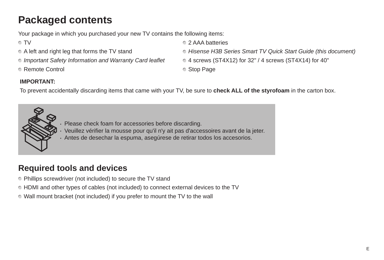## **Packaged contents**

Your package in which you purchased your new TV contains the following items:

- 
- 
- 
- Remote Control Stop Page
- ∩TV 2 AAA batteries
- A left and right leg that forms the TV stand  $\bullet$  Hisense H3B Series Smart TV Quick Start Guide (this document)
- $\degree$  Important Safety Information and Warranty Card leaflet  $\degree$  4 screws (ST4X12) for 32" / 4 screws (ST4X14) for 40"
	-

#### **IMPORTANT:**

To prevent accidentally discarding items that came with your TV, be sure to **check ALL of the styrofoam** in the carton box.



- · Please check foam for accessories before discarding.
- · Veuillez vérifier la mousse pour qu'il n'y ait pas d'accessoires avant de la jeter.
- · Antes de desechar la espuma, asegúrese de retirar todos los accesorios.

## **Required tools and devices**

- Phillips screwdriver (not included) to secure the TV stand
- HDMI and other types of cables (not included) to connect external devices to the TV
- Wall mount bracket (not included) if you prefer to mount the TV to the wall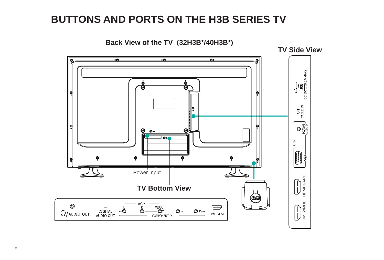## **BUTTONS AND PORTS ON THE H3B SERIES TV**

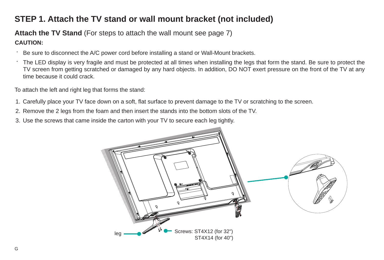### **STEP 1. Attach the TV stand or wall mount bracket (not included)**

#### **Attach the TV Stand** (For steps to attach the wall mount see page 7)

#### **CAUTION:**

- Be sure to disconnect the A/C power cord before installing a stand or Wall-Mount brackets.
- The LED display is very fragile and must be protected at all times when installing the legs that form the stand. Be sure to protect the TV screen from getting scratched or damaged by any hard objects. In addition, DO NOT exert pressure on the front of the TV at any time because it could crack.

To attach the left and right leg that forms the stand:

- 1. Carefully place your TV face down on a soft, flat surface to prevent damage to the TV or scratching to the screen.
- 2. Remove the 2 legs from the foam and then insert the stands into the bottom slots of the TV.
- 3. Use the screws that came inside the carton with your TV to secure each leg tightly.

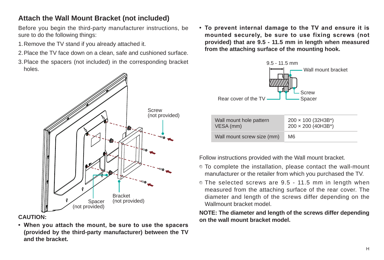#### **Attach the Wall Mount Bracket (not included)**

Before you begin the third-party manufacturer instructions, be sure to do the following things:

- 1.Remove the TV stand if you already attached it.
- 2.Place the TV face down on a clean, safe and cushioned surface.
- 3.Place the spacers (not included) in the corresponding bracket holes.



#### **CAUTION:**

**• When you attach the mount, be sure to use the spacers (provided by the third-party manufacturer) between the TV and the bracket.**

**• To prevent internal damage to the TV and ensure it is mounted securely, be sure to use fixing screws (not provided) that are 9.5 - 11.5 mm in length when measured from the attaching surface of the mounting hook.**



| Wall mount hole pattern<br>VESA (mm) | $200 \times 100$ (32H3B*)<br>$200 \times 200$ (40H3B*) |
|--------------------------------------|--------------------------------------------------------|
| Wall mount screw size (mm)           | M6                                                     |

Follow instructions provided with the Wall mount bracket.

- To complete the installation, please contact the wall-mount manufacturer or the retailer from which you purchased the TV.
- The selected screws are 9.5 11.5 mm in length when measured from the attaching surface of the rear cover. The diameter and length of the screws differ depending on the Wallmount bracket model.

**NOTE: The diameter and length of the screws differ depending on the wall mount bracket model.**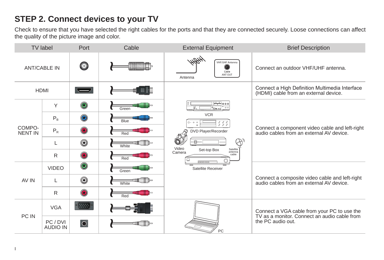## **STEP 2. Connect devices to your TV**

Check to ensure that you have selected the right cables for the ports and that they are connected securely. Loose connections can affect the quality of the picture image and color.

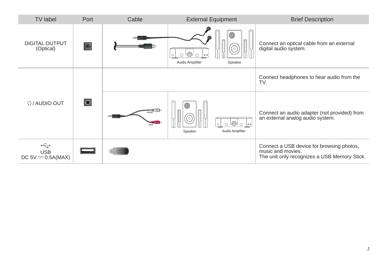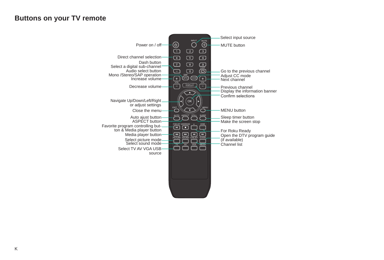#### **Buttons on your TV remote**

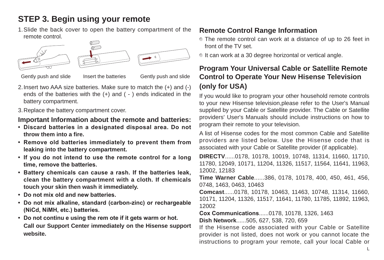## **STEP 3. Begin using your remote**

1.Slide the back cover to open the battery compartment of the remote control.



Gently push and slide Insert the batteries Gently push and slide

- 2.Insert two AAA size batteries. Make sure to match the (+) and (-) ends of the batteries with the (+) and ( - ) ends indicated in the battery compartment.
- 3.Replace the battery compartment cover.

#### **Important Information about the remote and batteries:**

- **• Discard batteries in a designated disposal area. Do not throw them into a fire.**
- **• Remove old batteries immediately to prevent them from leaking into the battery compartment.**
- **• If you do not intend to use the remote control for a long time, remove the batteries.**
- **• Battery chemicals can cause a rash. If the batteries leak, clean the battery compartment with a cloth. If chemicals touch your skin then wash it immediately.**
- **• Do not mix old and new batteries.**
- **• Do not mix alkaline, standard (carbon-zinc) or rechargeable (NiCd, NiMH, etc.) batteries.**
- **• Do not continu e using the rem ote if it gets warm or hot. Call our Support Center immediately on the Hisense support website.**

#### **Remote Control Range Information**

- The remote control can work at a distance of up to 26 feet in front of the TV set.
- If can work at a 30 degree horizontal or vertical angle.

#### **Program Your Universal Cable or Satellite Remote Control to Operate Your New Hisense Television (only for USA)**

If you would like to program your other household remote controls to your new Hisense television,please refer to the User's Manual supplied by your Cable or Satellite provider. The Cable or Satellite providers' User's Manuals should include instructions on how to program their remote to your television.

A list of Hisense codes for the most common Cable and Satellite providers are listed below. Use the Hisense code that is associated with your Cable or Satellite provider (if applicable).

**DIRECTV**......0178, 10178, 10019, 10748, 11314, 11660, 11710, 11780, 12049, 10171, 11204, 11326, 11517, 11564, 11641, 11963, 12002, 12183

**Time Warner Cable**......386, 0178, 10178, 400, 450, 461, 456, 0748, 1463, 0463, 10463

**Comcast**......0178, 10178, 10463, 11463, 10748, 11314, 11660, 10171, 11204, 11326, 11517, 11641, 11780, 11785, 11892, 11963, 12002

**Cox Communications**......0178, 10178, 1326, 1463 **Dish Network**......505, 627, 538, 720, 659

If the Hisense code associated with your Cable or Satellite provider is not listed, does not work or you cannot locate the instructions to program your remote, call your local Cable or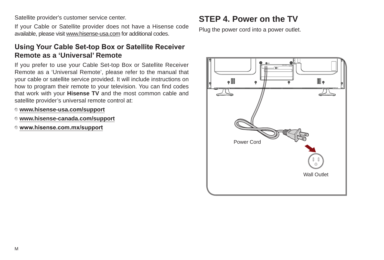Satellite provider's customer service center.

If your Cable or Satellite provider does not have a Hisense code available, please visit www.hisense-usa.com for additional codes.

#### **Using Your Cable Set-top Box or Satellite Receiver Remote as a 'Universal' Remote**

If you prefer to use your Cable Set-top Box or Satellite Receiver Remote as a 'Universal Remote', please refer to the manual that your cable or satellite service provided. It will include instructions on how to program their remote to your television. You can find codes that work with your **Hisense TV** and the most common cable and satellite provider's universal remote control at:

- **www.hisense-usa.com/support**
- **www.hisense-canada.com/support**
- **www.hisense.com.mx/support**

## **STEP 4. Power on the TV**

Plug the power cord into a power outlet.

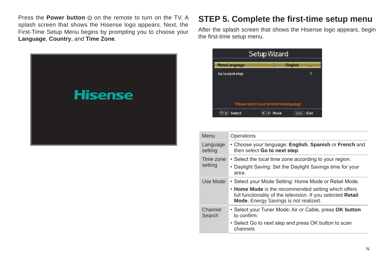Press the **Power button**  $\uplus$  on the remote to turn on the TV. A splash screen that shows the Hisense logo appears. Next, the First-Time Setup Menu begins by prompting you to choose your **Language**, **Country**, and **Time Zone**.



#### **STEP 5. Complete the first-time setup menu**

After the splash screen that shows the Hisense logo appears, begin the first-time setup menu.

| <b>Setup Wizard</b> |                                       |                |      |
|---------------------|---------------------------------------|----------------|------|
| <b>MenuLanguage</b> |                                       | <b>English</b> |      |
| Go to next step     | Please select your preferred language |                |      |
| <b>Select</b>       | Move                                  | <b>MENU</b>    | Exit |

| Menu                 | Operations                                                                                                                                                                                                            |
|----------------------|-----------------------------------------------------------------------------------------------------------------------------------------------------------------------------------------------------------------------|
| Language<br>setting  | • Choose your language: English, Spanish or French and<br>then select Go to next step.                                                                                                                                |
| Time zone<br>setting | • Select the local time zone according to your region.<br>• Daylight Saving: Set the Daylight Savings time for your<br>area.                                                                                          |
| Use Mode             | • Select your Mode Setting: Home Mode or Retail Mode.<br>• Home Mode is the recommended setting which offers<br>full functionality of the television. If you selected Retail<br>Mode, Energy Savings is not realized. |
| Channel<br>Search    | • Select your Tuner Mode: Air or Cable, press OK button<br>to confirm<br>• Select Go to next step and press OK button to scan<br>channels                                                                             |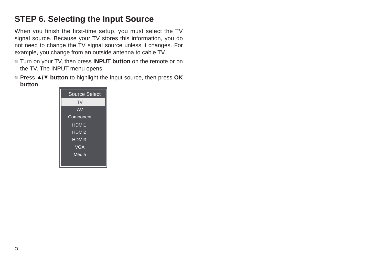### **STEP 6. Selecting the Input Source**

When you finish the first-time setup, you must select the TV signal source. Because your TV stores this information, you do not need to change the TV signal source unless it changes. For example, you change from an outside antenna to cable TV.

- Turn on your TV, then press **INPUT button** on the remote or on the TV. The INPUT menu opens.
- Press ▲**/**▼ **button** to highlight the input source, then press **OK button**.

| Source Select     |
|-------------------|
| TV                |
| AV                |
| Component         |
| HDMI <sub>1</sub> |
| HDMI <sub>2</sub> |
| HDMI3             |
| <b>VGA</b>        |
| Media             |
|                   |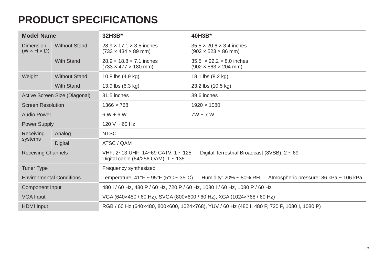## **PRODUCT SPECIFICATIONS**

| <b>Model Name</b>                    |                      | 32H3B*                                                                                                                                        | 40H3B*                                                                           |  |  |
|--------------------------------------|----------------------|-----------------------------------------------------------------------------------------------------------------------------------------------|----------------------------------------------------------------------------------|--|--|
| Dimension<br>$(W \times H \times D)$ | <b>Without Stand</b> | $28.9 \times 17.1 \times 3.5$ inches<br>$(733 \times 434 \times 89 \text{ mm})$                                                               | $35.5 \times 20.6 \times 3.4$ inches<br>$(902 \times 523 \times 86$ mm)          |  |  |
|                                      | <b>With Stand</b>    | $28.9 \times 18.8 \times 7.1$ inches<br>$(733 \times 477 \times 180 \text{ mm})$                                                              | $35.5 \times 22.2 \times 8.0$ inches<br>$(902 \times 563 \times 204 \text{ mm})$ |  |  |
| Weight                               | <b>Without Stand</b> | 10.8 lbs (4.9 kg)                                                                                                                             | 18.1 lbs (8.2 kg)                                                                |  |  |
|                                      | <b>With Stand</b>    | 13.9 lbs (6.3 kg)                                                                                                                             | 23.2 lbs (10.5 kg)                                                               |  |  |
| Active Screen Size (Diagonal)        |                      | 31.5 inches                                                                                                                                   | 39.6 inches                                                                      |  |  |
| <b>Screen Resolution</b>             |                      | 1366 × 768                                                                                                                                    | 1920 × 1080                                                                      |  |  |
| <b>Audio Power</b>                   |                      | $6W + 6W$                                                                                                                                     | $7W + 7W$                                                                        |  |  |
| Power Supply                         |                      | $120 V - 60 Hz$                                                                                                                               |                                                                                  |  |  |
| Receiving                            | Analog               | <b>NTSC</b>                                                                                                                                   |                                                                                  |  |  |
| systems                              | Digital              | ATSC / QAM                                                                                                                                    |                                                                                  |  |  |
| <b>Receiving Channels</b>            |                      | VHF: 2~13 UHF: 14~69 CATV: 1 ~ 125<br>Digital Terrestrial Broadcast (8VSB): $2 \sim 69$<br>Digital cable $(64/256 \text{ QAM})$ : 1 ~ 135     |                                                                                  |  |  |
| <b>Tuner Type</b>                    |                      | Frequency synthesized                                                                                                                         |                                                                                  |  |  |
| <b>Environmental Conditions</b>      |                      | Temperature: $41^{\circ}F \sim 95^{\circ}F (5^{\circ}C \sim 35^{\circ}C)$<br>Humidity: 20% ~ 80% RH<br>Atmospheric pressure: 86 kPa ~ 106 kPa |                                                                                  |  |  |
| Component Input                      |                      | 480 I / 60 Hz, 480 P / 60 Hz, 720 P / 60 Hz, 1080 I / 60 Hz, 1080 P / 60 Hz                                                                   |                                                                                  |  |  |
| <b>VGA Input</b>                     |                      | VGA (640x480 / 60 Hz), SVGA (800x600 / 60 Hz), XGA (1024x768 / 60 Hz)                                                                         |                                                                                  |  |  |
| <b>HDMI</b> Input                    |                      | RGB / 60 Hz (640x480, 800x600, 1024x768), YUV / 60 Hz (480 I, 480 P, 720 P, 1080 I, 1080 P)                                                   |                                                                                  |  |  |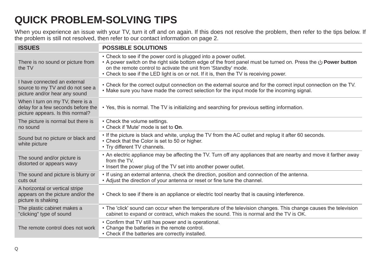## **QUICK PROBLEM-SOLVING TIPS**

When you experience an issue with your TV, turn it off and on again. If this does not resolve the problem, then refer to the tips below. If the problem is still not resolved, then refer to our contact information on page 2.

| <b>ISSUES</b>                                                                                              | <b>POSSIBLE SOLUTIONS</b>                                                                                                                                                                                                                                                                                                                               |
|------------------------------------------------------------------------------------------------------------|---------------------------------------------------------------------------------------------------------------------------------------------------------------------------------------------------------------------------------------------------------------------------------------------------------------------------------------------------------|
| There is no sound or picture from<br>the TV                                                                | • Check to see if the power cord is plugged into a power outlet.<br>• A power switch on the right side bottom edge of the front panel must be turned on. Press the $\bigcup$ Power button<br>on the remote control to activate the unit from 'Standby' mode.<br>• Check to see if the LED light is on or not. If it is, then the TV is receiving power. |
| I have connected an external<br>source to my TV and do not see a<br>picture and/or hear any sound          | • Check for the correct output connection on the external source and for the correct input connection on the TV.<br>• Make sure you have made the correct selection for the input mode for the incoming signal.                                                                                                                                         |
| When I turn on my TV, there is a<br>delay for a few seconds before the<br>picture appears. Is this normal? | . Yes, this is normal. The TV is initializing and searching for previous setting information.                                                                                                                                                                                                                                                           |
| The picture is normal but there is<br>no sound                                                             | • Check the volume settings.<br>• Check if 'Mute' mode is set to On.                                                                                                                                                                                                                                                                                    |
| Sound but no picture or black and<br>white picture                                                         | . If the picture is black and white, unplug the TV from the AC outlet and replug it after 60 seconds.<br>• Check that the Color is set to 50 or higher.<br>• Try different TV channels.                                                                                                                                                                 |
| The sound and/or picture is<br>distorted or appears wavy                                                   | • An electric appliance may be affecting the TV. Turn off any appliances that are nearby and move it farther away<br>from the TV.<br>• Insert the power plug of the TV set into another power outlet.                                                                                                                                                   |
| The sound and picture is blurry or<br>cuts out                                                             | • If using an external antenna, check the direction, position and connection of the antenna.<br>• Adjust the direction of your antenna or reset or fine tune the channel.                                                                                                                                                                               |
| A horizontal or vertical stripe<br>appears on the picture and/or the<br>picture is shaking                 | • Check to see if there is an appliance or electric tool nearby that is causing interference.                                                                                                                                                                                                                                                           |
| The plastic cabinet makes a<br>"clicking" type of sound                                                    | • The 'click' sound can occur when the temperature of the television changes. This change causes the television<br>cabinet to expand or contract, which makes the sound. This is normal and the TV is OK.                                                                                                                                               |
| The remote control does not work                                                                           | • Confirm that TV still has power and is operational.<br>• Change the batteries in the remote control.<br>• Check if the batteries are correctly installed.                                                                                                                                                                                             |